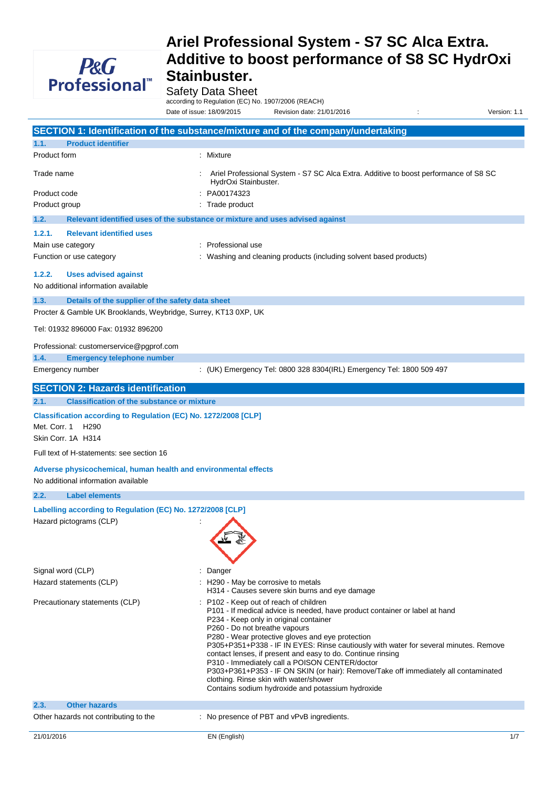

Safety Data Sheet

according to Regulation (EC) No. 1907/2006 (REACH)

Date of issue: 18/09/2015 Revision date: 21/01/2016 : Version: 1.1

|                                                                                                        | SECTION 1: Identification of the substance/mixture and of the company/undertaking                                                                                                                                                                                                                                                                                                                                                                                                                                                                                                                                                                 |
|--------------------------------------------------------------------------------------------------------|---------------------------------------------------------------------------------------------------------------------------------------------------------------------------------------------------------------------------------------------------------------------------------------------------------------------------------------------------------------------------------------------------------------------------------------------------------------------------------------------------------------------------------------------------------------------------------------------------------------------------------------------------|
| <b>Product identifier</b><br>1.1.                                                                      |                                                                                                                                                                                                                                                                                                                                                                                                                                                                                                                                                                                                                                                   |
| Product form                                                                                           | : Mixture                                                                                                                                                                                                                                                                                                                                                                                                                                                                                                                                                                                                                                         |
| Trade name                                                                                             | Ariel Professional System - S7 SC Alca Extra. Additive to boost performance of S8 SC<br>HydrOxi Stainbuster.                                                                                                                                                                                                                                                                                                                                                                                                                                                                                                                                      |
| Product code                                                                                           | PA00174323                                                                                                                                                                                                                                                                                                                                                                                                                                                                                                                                                                                                                                        |
| Product group                                                                                          | Trade product                                                                                                                                                                                                                                                                                                                                                                                                                                                                                                                                                                                                                                     |
| 1.2.                                                                                                   | Relevant identified uses of the substance or mixture and uses advised against                                                                                                                                                                                                                                                                                                                                                                                                                                                                                                                                                                     |
| 1.2.1.<br><b>Relevant identified uses</b>                                                              |                                                                                                                                                                                                                                                                                                                                                                                                                                                                                                                                                                                                                                                   |
| Main use category                                                                                      | Professional use                                                                                                                                                                                                                                                                                                                                                                                                                                                                                                                                                                                                                                  |
| Function or use category                                                                               | Washing and cleaning products (including solvent based products)                                                                                                                                                                                                                                                                                                                                                                                                                                                                                                                                                                                  |
| 1.2.2.<br><b>Uses advised against</b><br>No additional information available                           |                                                                                                                                                                                                                                                                                                                                                                                                                                                                                                                                                                                                                                                   |
| 1.3.<br>Details of the supplier of the safety data sheet                                               |                                                                                                                                                                                                                                                                                                                                                                                                                                                                                                                                                                                                                                                   |
| Procter & Gamble UK Brooklands, Weybridge, Surrey, KT13 0XP, UK                                        |                                                                                                                                                                                                                                                                                                                                                                                                                                                                                                                                                                                                                                                   |
| Tel: 01932 896000 Fax: 01932 896200                                                                    |                                                                                                                                                                                                                                                                                                                                                                                                                                                                                                                                                                                                                                                   |
| Professional: customerservice@pgprof.com                                                               |                                                                                                                                                                                                                                                                                                                                                                                                                                                                                                                                                                                                                                                   |
| 1.4.<br><b>Emergency telephone number</b>                                                              |                                                                                                                                                                                                                                                                                                                                                                                                                                                                                                                                                                                                                                                   |
| Emergency number                                                                                       | : (UK) Emergency Tel: 0800 328 8304(IRL) Emergency Tel: 1800 509 497                                                                                                                                                                                                                                                                                                                                                                                                                                                                                                                                                                              |
| <b>SECTION 2: Hazards identification</b>                                                               |                                                                                                                                                                                                                                                                                                                                                                                                                                                                                                                                                                                                                                                   |
| 2.1.<br><b>Classification of the substance or mixture</b>                                              |                                                                                                                                                                                                                                                                                                                                                                                                                                                                                                                                                                                                                                                   |
| Classification according to Regulation (EC) No. 1272/2008 [CLP]                                        |                                                                                                                                                                                                                                                                                                                                                                                                                                                                                                                                                                                                                                                   |
| Met. Corr. 1<br>H <sub>290</sub>                                                                       |                                                                                                                                                                                                                                                                                                                                                                                                                                                                                                                                                                                                                                                   |
| Skin Corr. 1A H314                                                                                     |                                                                                                                                                                                                                                                                                                                                                                                                                                                                                                                                                                                                                                                   |
| Full text of H-statements: see section 16                                                              |                                                                                                                                                                                                                                                                                                                                                                                                                                                                                                                                                                                                                                                   |
| Adverse physicochemical, human health and environmental effects<br>No additional information available |                                                                                                                                                                                                                                                                                                                                                                                                                                                                                                                                                                                                                                                   |
| 2.2.<br><b>Label elements</b>                                                                          |                                                                                                                                                                                                                                                                                                                                                                                                                                                                                                                                                                                                                                                   |
| Labelling according to Regulation (EC) No. 1272/2008 [CLP]                                             |                                                                                                                                                                                                                                                                                                                                                                                                                                                                                                                                                                                                                                                   |
| Hazard pictograms (CLP)                                                                                |                                                                                                                                                                                                                                                                                                                                                                                                                                                                                                                                                                                                                                                   |
|                                                                                                        |                                                                                                                                                                                                                                                                                                                                                                                                                                                                                                                                                                                                                                                   |
| Signal word (CLP)                                                                                      | Danger                                                                                                                                                                                                                                                                                                                                                                                                                                                                                                                                                                                                                                            |
| Hazard statements (CLP)                                                                                | : H290 - May be corrosive to metals                                                                                                                                                                                                                                                                                                                                                                                                                                                                                                                                                                                                               |
|                                                                                                        | H314 - Causes severe skin burns and eye damage                                                                                                                                                                                                                                                                                                                                                                                                                                                                                                                                                                                                    |
| Precautionary statements (CLP)                                                                         | P102 - Keep out of reach of children<br>P101 - If medical advice is needed, have product container or label at hand<br>P234 - Keep only in original container<br>P260 - Do not breathe vapours<br>P280 - Wear protective gloves and eye protection<br>P305+P351+P338 - IF IN EYES: Rinse cautiously with water for several minutes. Remove<br>contact lenses, if present and easy to do. Continue rinsing<br>P310 - Immediately call a POISON CENTER/doctor<br>P303+P361+P353 - IF ON SKIN (or hair): Remove/Take off immediately all contaminated<br>clothing. Rinse skin with water/shower<br>Contains sodium hydroxide and potassium hydroxide |
| <b>Other hazards</b><br>2.3.                                                                           |                                                                                                                                                                                                                                                                                                                                                                                                                                                                                                                                                                                                                                                   |
| Other hazards not contributing to the                                                                  | : No presence of PBT and vPvB ingredients.                                                                                                                                                                                                                                                                                                                                                                                                                                                                                                                                                                                                        |
| 21/01/2016                                                                                             | 1/7<br>EN (English)                                                                                                                                                                                                                                                                                                                                                                                                                                                                                                                                                                                                                               |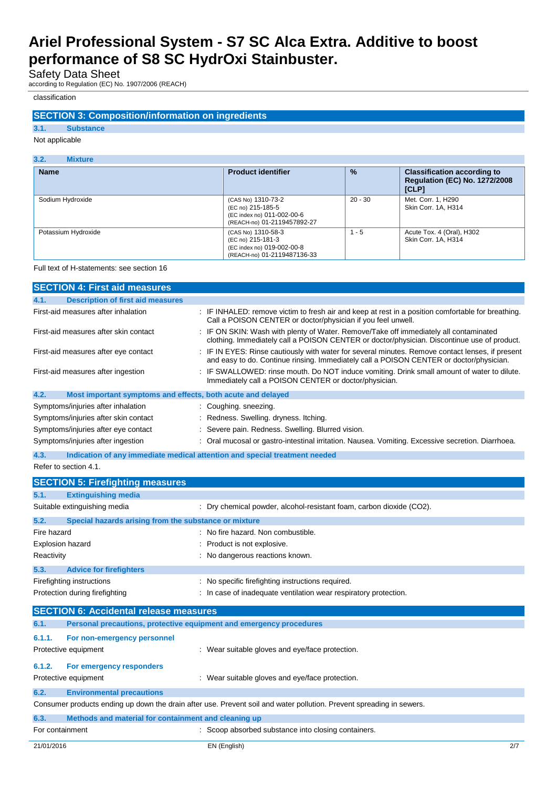Safety Data Sheet

according to Regulation (EC) No. 1907/2006 (REACH)

## classification

## **SECTION 3: Composition/information on ingredients**

**3.1. Substance** Not applicable

| 3.2.<br><b>Mixture</b> |                                                                                                      |               |                                                                                     |
|------------------------|------------------------------------------------------------------------------------------------------|---------------|-------------------------------------------------------------------------------------|
| <b>Name</b>            | <b>Product identifier</b>                                                                            | $\frac{9}{6}$ | <b>Classification according to</b><br><b>Requlation (EC) No. 1272/2008</b><br>[CLP] |
| Sodium Hydroxide       | (CAS No) 1310-73-2<br>(EC no) 215-185-5<br>(EC index no) 011-002-00-6<br>(REACH-no) 01-2119457892-27 | $20 - 30$     | Met. Corr. 1, H290<br>Skin Corr. 1A, H314                                           |
| Potassium Hydroxide    | (CAS No) 1310-58-3<br>(EC no) 215-181-3<br>(EC index no) 019-002-00-8<br>(REACH-no) 01-2119487136-33 | $1 - 5$       | Acute Tox. 4 (Oral), H302<br>Skin Corr. 1A. H314                                    |

### Full text of H-statements: see section 16

| <b>SECTION 4: First aid measures</b>                                        |                                                                                                                                                                                           |
|-----------------------------------------------------------------------------|-------------------------------------------------------------------------------------------------------------------------------------------------------------------------------------------|
| 4.1.<br><b>Description of first aid measures</b>                            |                                                                                                                                                                                           |
| First-aid measures after inhalation                                         | : IF INHALED: remove victim to fresh air and keep at rest in a position comfortable for breathing.<br>Call a POISON CENTER or doctor/physician if you feel unwell.                        |
| First-aid measures after skin contact                                       | IF ON SKIN: Wash with plenty of Water. Remove/Take off immediately all contaminated<br>clothing. Immediately call a POISON CENTER or doctor/physician. Discontinue use of product.        |
| First-aid measures after eye contact                                        | IF IN EYES: Rinse cautiously with water for several minutes. Remove contact lenses, if present<br>and easy to do. Continue rinsing. Immediately call a POISON CENTER or doctor/physician. |
| First-aid measures after ingestion                                          | IF SWALLOWED: rinse mouth. Do NOT induce vomiting. Drink small amount of water to dilute.<br>Immediately call a POISON CENTER or doctor/physician.                                        |
| 4.2.<br>Most important symptoms and effects, both acute and delayed         |                                                                                                                                                                                           |
| Symptoms/injuries after inhalation                                          | : Coughing. sneezing.                                                                                                                                                                     |
| Symptoms/injuries after skin contact                                        | Redness. Swelling. dryness. Itching.                                                                                                                                                      |
| Symptoms/injuries after eye contact                                         | Severe pain. Redness. Swelling. Blurred vision.                                                                                                                                           |
| Symptoms/injuries after ingestion                                           | Oral mucosal or gastro-intestinal irritation. Nausea. Vomiting. Excessive secretion. Diarrhoea.                                                                                           |
| 4.3.                                                                        | Indication of any immediate medical attention and special treatment needed                                                                                                                |
| Refer to section 4.1.                                                       |                                                                                                                                                                                           |
| <b>SECTION 5: Firefighting measures</b>                                     |                                                                                                                                                                                           |
| 5.1.<br><b>Extinguishing media</b>                                          |                                                                                                                                                                                           |
| Suitable extinguishing media                                                | Dry chemical powder, alcohol-resistant foam, carbon dioxide (CO2).                                                                                                                        |
| 5.2.<br>Special hazards arising from the substance or mixture               |                                                                                                                                                                                           |
| Fire hazard                                                                 | No fire hazard. Non combustible.                                                                                                                                                          |
| <b>Explosion hazard</b>                                                     | Product is not explosive.                                                                                                                                                                 |
| Reactivity                                                                  | : No dangerous reactions known.                                                                                                                                                           |
| 5.3.<br><b>Advice for firefighters</b>                                      |                                                                                                                                                                                           |
| Firefighting instructions                                                   | No specific firefighting instructions required.                                                                                                                                           |
| Protection during firefighting                                              | : In case of inadequate ventilation wear respiratory protection.                                                                                                                          |
|                                                                             |                                                                                                                                                                                           |
| <b>SECTION 6: Accidental release measures</b>                               |                                                                                                                                                                                           |
| Personal precautions, protective equipment and emergency procedures<br>6.1. |                                                                                                                                                                                           |
| 6.1.1.<br>For non-emergency personnel                                       |                                                                                                                                                                                           |
| Protective equipment                                                        | : Wear suitable gloves and eye/face protection.                                                                                                                                           |
| 6.1.2.<br>For emergency responders                                          |                                                                                                                                                                                           |
| Protective equipment                                                        | : Wear suitable gloves and eye/face protection.                                                                                                                                           |
| 6.2.<br><b>Environmental precautions</b>                                    |                                                                                                                                                                                           |
|                                                                             | Consumer products ending up down the drain after use. Prevent soil and water pollution. Prevent spreading in sewers.                                                                      |
| 6.3.<br>Methods and material for containment and cleaning up                |                                                                                                                                                                                           |
| For containment                                                             | : Scoop absorbed substance into closing containers.                                                                                                                                       |
| 21/01/2016                                                                  | EN (English)<br>2/7                                                                                                                                                                       |
|                                                                             |                                                                                                                                                                                           |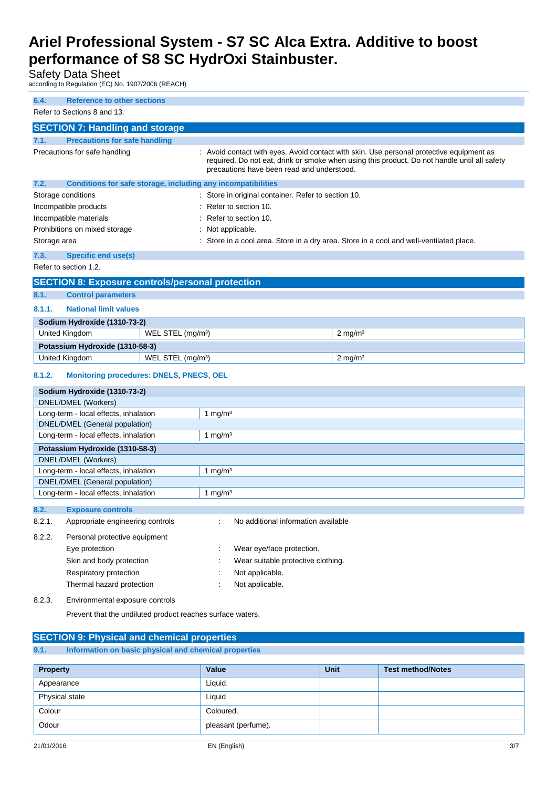Safety Data Sheet

according to Regulation (EC) No. 1907/2006 (REACH)

| 6.4.         | <b>Reference to other sections</b>                                      |                               |                                                              |                                                                                                                                                                                          |
|--------------|-------------------------------------------------------------------------|-------------------------------|--------------------------------------------------------------|------------------------------------------------------------------------------------------------------------------------------------------------------------------------------------------|
|              | Refer to Sections 8 and 13.                                             |                               |                                                              |                                                                                                                                                                                          |
|              | <b>SECTION 7: Handling and storage</b>                                  |                               |                                                              |                                                                                                                                                                                          |
| 7.1.         | <b>Precautions for safe handling</b>                                    |                               |                                                              |                                                                                                                                                                                          |
|              | Precautions for safe handling                                           |                               | precautions have been read and understood.                   | : Avoid contact with eyes. Avoid contact with skin. Use personal protective equipment as<br>required. Do not eat, drink or smoke when using this product. Do not handle until all safety |
| 7.2.         |                                                                         |                               | Conditions for safe storage, including any incompatibilities |                                                                                                                                                                                          |
|              | Storage conditions                                                      |                               | Store in original container. Refer to section 10.            |                                                                                                                                                                                          |
|              | Incompatible products                                                   |                               | Refer to section 10.                                         |                                                                                                                                                                                          |
|              | Incompatible materials                                                  |                               | Refer to section 10.                                         |                                                                                                                                                                                          |
|              | Prohibitions on mixed storage                                           |                               | Not applicable.                                              | Store in a cool area. Store in a dry area. Store in a cool and well-ventilated place.                                                                                                    |
| Storage area |                                                                         |                               |                                                              |                                                                                                                                                                                          |
| 7.3.         | Specific end use(s)                                                     |                               |                                                              |                                                                                                                                                                                          |
|              | Refer to section 1.2.                                                   |                               |                                                              |                                                                                                                                                                                          |
|              | <b>SECTION 8: Exposure controls/personal protection</b>                 |                               |                                                              |                                                                                                                                                                                          |
| 8.1.         | <b>Control parameters</b>                                               |                               |                                                              |                                                                                                                                                                                          |
| 8.1.1.       | <b>National limit values</b>                                            |                               |                                                              |                                                                                                                                                                                          |
|              | Sodium Hydroxide (1310-73-2)                                            |                               |                                                              |                                                                                                                                                                                          |
|              | United Kingdom                                                          | WEL STEL (mg/m <sup>3</sup> ) |                                                              | $2$ mg/m <sup>3</sup>                                                                                                                                                                    |
|              | Potassium Hydroxide (1310-58-3)                                         |                               |                                                              |                                                                                                                                                                                          |
|              | <b>United Kingdom</b>                                                   | WEL STEL (mg/m <sup>3</sup> ) |                                                              | $2$ mg/m <sup>3</sup>                                                                                                                                                                    |
| 8.1.2.       | <b>Monitoring procedures: DNELS, PNECS, OEL</b>                         |                               |                                                              |                                                                                                                                                                                          |
|              | Sodium Hydroxide (1310-73-2)                                            |                               |                                                              |                                                                                                                                                                                          |
|              | DNEL/DMEL (Workers)                                                     |                               |                                                              |                                                                                                                                                                                          |
|              | Long-term - local effects, inhalation                                   |                               | 1 mg/ $m3$                                                   |                                                                                                                                                                                          |
|              | DNEL/DMEL (General population)<br>Long-term - local effects, inhalation |                               | 1 mg/m $3$                                                   |                                                                                                                                                                                          |
|              |                                                                         |                               |                                                              |                                                                                                                                                                                          |
|              | Potassium Hydroxide (1310-58-3)<br>DNEL/DMEL (Workers)                  |                               |                                                              |                                                                                                                                                                                          |
|              | Long-term - local effects, inhalation                                   |                               | 1 mg/m <sup>3</sup>                                          |                                                                                                                                                                                          |
|              | DNEL/DMEL (General population)                                          |                               |                                                              |                                                                                                                                                                                          |
|              | Long-term - local effects, inhalation                                   |                               | 1 mg/ $m3$                                                   |                                                                                                                                                                                          |
| 8.2.         | <b>Exposure controls</b>                                                |                               |                                                              |                                                                                                                                                                                          |
| 8.2.1.       | Appropriate engineering controls                                        |                               | No additional information available                          |                                                                                                                                                                                          |
| 8.2.2.       | Personal protective equipment                                           |                               |                                                              |                                                                                                                                                                                          |
|              | Eye protection                                                          |                               | Wear eye/face protection.                                    |                                                                                                                                                                                          |
|              | Skin and body protection                                                |                               | Wear suitable protective clothing.                           |                                                                                                                                                                                          |
|              | Respiratory protection                                                  |                               | Not applicable.                                              |                                                                                                                                                                                          |
|              | Thermal hazard protection                                               |                               | Not applicable.                                              |                                                                                                                                                                                          |
| 8.2.3.       | Environmental exposure controls                                         |                               |                                                              |                                                                                                                                                                                          |
|              | Prevent that the undiluted product reaches surface waters.              |                               |                                                              |                                                                                                                                                                                          |
|              |                                                                         |                               |                                                              |                                                                                                                                                                                          |
|              | <b>SECTION 9: Physical and chemical properties</b>                      |                               |                                                              |                                                                                                                                                                                          |

**9.1. Information on basic physical and chemical properties**

| <b>Property</b> | Value               | <b>Unit</b> | <b>Test method/Notes</b> |
|-----------------|---------------------|-------------|--------------------------|
| Appearance      | Liquid.             |             |                          |
| Physical state  | Liquid              |             |                          |
| Colour          | Coloured.           |             |                          |
| Odour           | pleasant (perfume). |             |                          |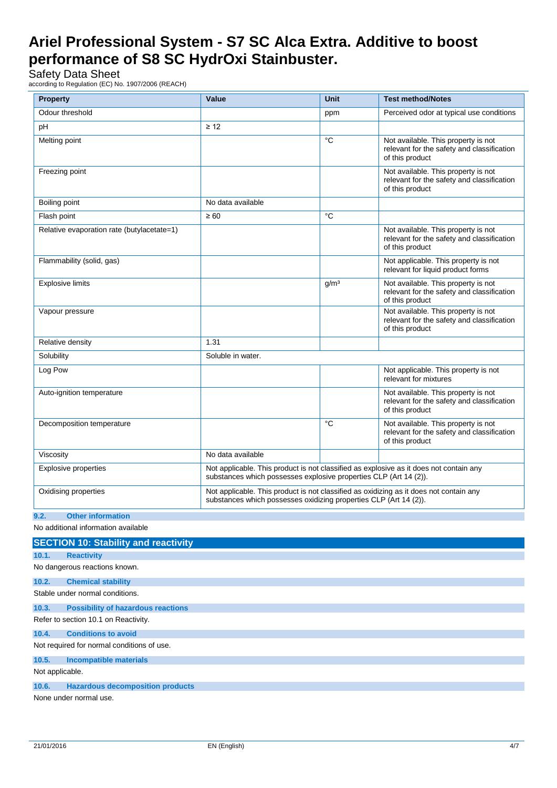Safety Data Sheet

according to Regulation (EC) No. 1907/2006 (REACH)

| <b>Property</b>                            | Value                                                                                                                                                       | <b>Unit</b>      | <b>Test method/Notes</b>                                                                             |
|--------------------------------------------|-------------------------------------------------------------------------------------------------------------------------------------------------------------|------------------|------------------------------------------------------------------------------------------------------|
| Odour threshold                            |                                                                                                                                                             | ppm              | Perceived odor at typical use conditions                                                             |
| рH                                         | $\geq 12$                                                                                                                                                   |                  |                                                                                                      |
| Melting point                              |                                                                                                                                                             | °C               | Not available. This property is not<br>relevant for the safety and classification<br>of this product |
| Freezing point                             |                                                                                                                                                             |                  | Not available. This property is not<br>relevant for the safety and classification<br>of this product |
| Boiling point                              | No data available                                                                                                                                           |                  |                                                                                                      |
| Flash point                                | $\geq 60$                                                                                                                                                   | °C               |                                                                                                      |
| Relative evaporation rate (butylacetate=1) |                                                                                                                                                             |                  | Not available. This property is not<br>relevant for the safety and classification<br>of this product |
| Flammability (solid, gas)                  |                                                                                                                                                             |                  | Not applicable. This property is not<br>relevant for liquid product forms                            |
| <b>Explosive limits</b>                    |                                                                                                                                                             | g/m <sup>3</sup> | Not available. This property is not<br>relevant for the safety and classification<br>of this product |
| Vapour pressure                            |                                                                                                                                                             |                  | Not available. This property is not<br>relevant for the safety and classification<br>of this product |
| Relative density                           | 1.31                                                                                                                                                        |                  |                                                                                                      |
| Solubility                                 | Soluble in water.                                                                                                                                           |                  |                                                                                                      |
| Log Pow                                    |                                                                                                                                                             |                  | Not applicable. This property is not<br>relevant for mixtures                                        |
| Auto-ignition temperature                  |                                                                                                                                                             |                  | Not available. This property is not<br>relevant for the safety and classification<br>of this product |
| Decomposition temperature                  |                                                                                                                                                             | °C               | Not available. This property is not<br>relevant for the safety and classification<br>of this product |
| Viscosity                                  | No data available                                                                                                                                           |                  |                                                                                                      |
| <b>Explosive properties</b>                | Not applicable. This product is not classified as explosive as it does not contain any<br>substances which possesses explosive properties CLP (Art 14 (2)). |                  |                                                                                                      |
| Oxidising properties                       | Not applicable. This product is not classified as oxidizing as it does not contain any<br>substances which possesses oxidizing properties CLP (Art 14 (2)). |                  |                                                                                                      |
| 9.2.<br><b>Other information</b>           |                                                                                                                                                             |                  |                                                                                                      |

No additional information available

## **SECTION 10: Stability and reactivity 10.1. Reactivity** No dangerous reactions known. **10.2. Chemical stability** Stable under normal conditions. **10.3. Possibility of hazardous reactions** Refer to section 10.1 on Reactivity. **10.4. Conditions to avoid** Not required for normal conditions of use. **10.5. Incompatible materials** Not applicable. **10.6. Hazardous decomposition products** None under normal use.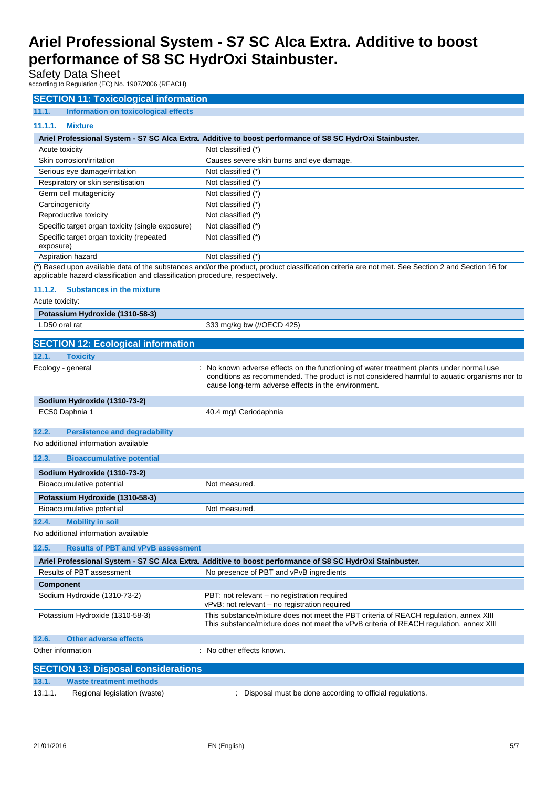Safety Data Sheet

according to Regulation (EC) No. 1907/2006 (REACH)

## **SECTION 11: Toxicological information**

## **11.1. Information on toxicological effects**

## **11.1.1. Mixture**

|                                                       | Ariel Professional System - S7 SC Alca Extra. Additive to boost performance of S8 SC HydrOxi Stainbuster. |
|-------------------------------------------------------|-----------------------------------------------------------------------------------------------------------|
| Acute toxicity                                        | Not classified (*)                                                                                        |
| Skin corrosion/irritation                             | Causes severe skin burns and eye damage.                                                                  |
| Serious eye damage/irritation                         | Not classified (*)                                                                                        |
| Respiratory or skin sensitisation                     | Not classified (*)                                                                                        |
| Germ cell mutagenicity                                | Not classified (*)                                                                                        |
| Carcinogenicity                                       | Not classified (*)                                                                                        |
| Reproductive toxicity                                 | Not classified (*)                                                                                        |
| Specific target organ toxicity (single exposure)      | Not classified (*)                                                                                        |
| Specific target organ toxicity (repeated<br>exposure) | Not classified (*)                                                                                        |
| Aspiration hazard                                     | Not classified (*)                                                                                        |

(\*) Based upon available data of the substances and/or the product, product classification criteria are not met. See Section 2 and Section 16 for applicable hazard classification and classification procedure, respectively.

#### **11.1.2. Substances in the mixture**

Acute toxicity:

| Potassium Hydroxide (1310-58-3)                    |                                                                                                                                                                                                                                               |
|----------------------------------------------------|-----------------------------------------------------------------------------------------------------------------------------------------------------------------------------------------------------------------------------------------------|
| LD50 oral rat                                      | 333 mg/kg bw (//OECD 425)                                                                                                                                                                                                                     |
|                                                    |                                                                                                                                                                                                                                               |
| <b>SECTION 12: Ecological information</b>          |                                                                                                                                                                                                                                               |
| <b>Toxicity</b><br>12.1.                           |                                                                                                                                                                                                                                               |
| Ecology - general                                  | No known adverse effects on the functioning of water treatment plants under normal use<br>conditions as recommended. The product is not considered harmful to aquatic organisms nor to<br>cause long-term adverse effects in the environment. |
| Sodium Hydroxide (1310-73-2)                       |                                                                                                                                                                                                                                               |
| EC50 Daphnia 1                                     | 40.4 mg/l Ceriodaphnia                                                                                                                                                                                                                        |
|                                                    |                                                                                                                                                                                                                                               |
| 12.2.<br><b>Persistence and degradability</b>      |                                                                                                                                                                                                                                               |
| No additional information available                |                                                                                                                                                                                                                                               |
| 12.3.<br><b>Bioaccumulative potential</b>          |                                                                                                                                                                                                                                               |
| Sodium Hydroxide (1310-73-2)                       |                                                                                                                                                                                                                                               |
| Bioaccumulative potential                          | Not measured.                                                                                                                                                                                                                                 |
| Potassium Hydroxide (1310-58-3)                    |                                                                                                                                                                                                                                               |
| Bioaccumulative potential                          | Not measured.                                                                                                                                                                                                                                 |
| 12.4.<br><b>Mobility in soil</b>                   |                                                                                                                                                                                                                                               |
| No additional information available                |                                                                                                                                                                                                                                               |
| 12.5.<br><b>Results of PBT and vPvB assessment</b> |                                                                                                                                                                                                                                               |
|                                                    | Ariel Professional System - S7 SC Alca Extra. Additive to boost performance of S8 SC HydrOxi Stainbuster.                                                                                                                                     |
| Results of PBT assessment                          | No presence of PRT and vPvB ingredients                                                                                                                                                                                                       |

| Ariel Professional System - S7 SC Alca Extra. Additive to boost performance of S8 SC HydrOxi Stainbuster. |                                                                                                                                                                                 |  |  |
|-----------------------------------------------------------------------------------------------------------|---------------------------------------------------------------------------------------------------------------------------------------------------------------------------------|--|--|
| Results of PBT assessment                                                                                 | No presence of PBT and vPvB ingredients                                                                                                                                         |  |  |
| <b>Component</b>                                                                                          |                                                                                                                                                                                 |  |  |
| Sodium Hydroxide (1310-73-2)                                                                              | PBT: not relevant – no registration required<br>vPvB: not relevant - no registration required                                                                                   |  |  |
| Potassium Hydroxide (1310-58-3)                                                                           | This substance/mixture does not meet the PBT criteria of REACH regulation, annex XIII<br>This substance/mixture does not meet the vPvB criteria of REACH requlation, annex XIII |  |  |
| 12.6.<br><b>Other adverse effects</b>                                                                     |                                                                                                                                                                                 |  |  |

Other information **because the contract of the contract of the contract of the contract of the contract of the contract of the contract of the contract of the contract of the contract of the contract of the contract of the** 

|         | <b>SECTION 13: Disposal considerations</b> |                                                            |
|---------|--------------------------------------------|------------------------------------------------------------|
| 13.1.   | Waste treatment methods                    |                                                            |
| 13.1.1. | Regional legislation (waste)               | : Disposal must be done according to official regulations. |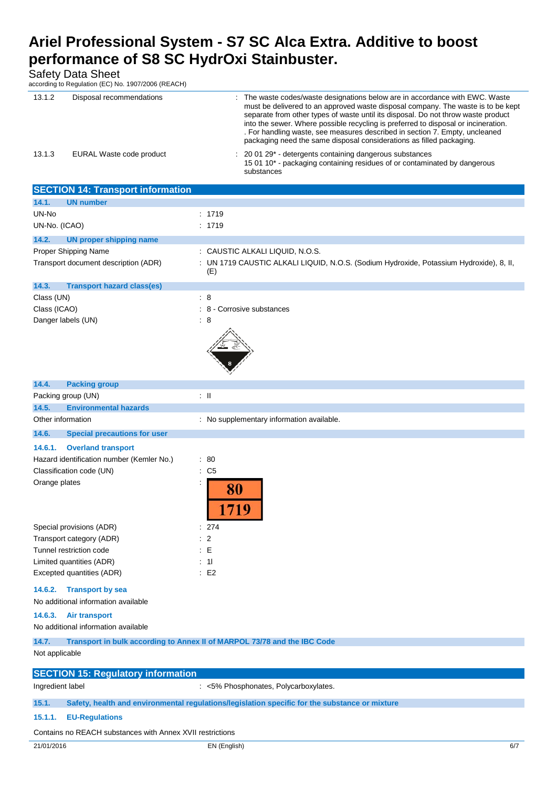| Safety Data Sheet<br>according to Regulation (EC) No. 1907/2006 (REACH) |                                                                                                                                                                                                                                                                                                                                                                                                                                                                                                    |
|-------------------------------------------------------------------------|----------------------------------------------------------------------------------------------------------------------------------------------------------------------------------------------------------------------------------------------------------------------------------------------------------------------------------------------------------------------------------------------------------------------------------------------------------------------------------------------------|
| 13.1.2<br>Disposal recommendations                                      | : The waste codes/waste designations below are in accordance with EWC. Waste<br>must be delivered to an approved waste disposal company. The waste is to be kept<br>separate from other types of waste until its disposal. Do not throw waste product<br>into the sewer. Where possible recycling is preferred to disposal or incineration.<br>. For handling waste, see measures described in section 7. Empty, uncleaned<br>packaging need the same disposal considerations as filled packaging. |
| 13.1.3<br>EURAL Waste code product                                      | 20 01 29* - detergents containing dangerous substances<br>15 01 10 <sup>*</sup> - packaging containing residues of or contaminated by dangerous<br>substances                                                                                                                                                                                                                                                                                                                                      |
| <b>SECTION 14: Transport information</b>                                |                                                                                                                                                                                                                                                                                                                                                                                                                                                                                                    |
| <b>UN number</b><br>14.1.                                               |                                                                                                                                                                                                                                                                                                                                                                                                                                                                                                    |
| UN-No                                                                   | : 1719                                                                                                                                                                                                                                                                                                                                                                                                                                                                                             |
| UN-No. (ICAO)                                                           | : 1719                                                                                                                                                                                                                                                                                                                                                                                                                                                                                             |
| 14.2.<br>UN proper shipping name                                        |                                                                                                                                                                                                                                                                                                                                                                                                                                                                                                    |
| Proper Shipping Name                                                    | : CAUSTIC ALKALI LIQUID, N.O.S.                                                                                                                                                                                                                                                                                                                                                                                                                                                                    |
| Transport document description (ADR)                                    | : UN 1719 CAUSTIC ALKALI LIQUID, N.O.S. (Sodium Hydroxide, Potassium Hydroxide), 8, II,<br>(E)                                                                                                                                                                                                                                                                                                                                                                                                     |
| 14.3.<br><b>Transport hazard class(es)</b>                              |                                                                                                                                                                                                                                                                                                                                                                                                                                                                                                    |
| Class (UN)                                                              | $\therefore$ 8                                                                                                                                                                                                                                                                                                                                                                                                                                                                                     |
| Class (ICAO)                                                            | : 8 - Corrosive substances                                                                                                                                                                                                                                                                                                                                                                                                                                                                         |
| Danger labels (UN)                                                      | $\therefore$ 8                                                                                                                                                                                                                                                                                                                                                                                                                                                                                     |
| 14.4.<br><b>Packing group</b>                                           |                                                                                                                                                                                                                                                                                                                                                                                                                                                                                                    |
| Packing group (UN)                                                      | $\pm$ 11                                                                                                                                                                                                                                                                                                                                                                                                                                                                                           |
| 14.5.<br><b>Environmental hazards</b>                                   |                                                                                                                                                                                                                                                                                                                                                                                                                                                                                                    |
| Other information                                                       | : No supplementary information available.                                                                                                                                                                                                                                                                                                                                                                                                                                                          |

**14.6. Special precautions for user**

### **14.6.1. Overland transport**

| Hazard identification number (Kemler No.) | : 80 |  |
|-------------------------------------------|------|--|
| Classification code (UN)                  | : C5 |  |
| Orange plates                             |      |  |
|                                           |      |  |

| Special provisions (ADR)  | : 274          |
|---------------------------|----------------|
| Transport category (ADR)  | $\therefore$ 2 |
| Tunnel restriction code   | ∶ F            |
| Limited quantities (ADR)  | : 11           |
| Excepted quantities (ADR) | $E^2$          |

## **14.6.2. Transport by sea**

No additional information available

#### **14.6.3. Air transport**

No additional information available

| 14.7.                                                     | Transport in bulk according to Annex II of MARPOL 73/78 and the IBC Code                       |  |  |  |  |
|-----------------------------------------------------------|------------------------------------------------------------------------------------------------|--|--|--|--|
| Not applicable                                            |                                                                                                |  |  |  |  |
|                                                           |                                                                                                |  |  |  |  |
| <b>SECTION 15: Regulatory information</b>                 |                                                                                                |  |  |  |  |
| Ingredient label                                          | : <5% Phosphonates, Polycarboxylates.                                                          |  |  |  |  |
|                                                           |                                                                                                |  |  |  |  |
| 15.1.                                                     | Safety, health and environmental regulations/legislation specific for the substance or mixture |  |  |  |  |
| 15.1.1.                                                   | <b>EU-Regulations</b>                                                                          |  |  |  |  |
|                                                           |                                                                                                |  |  |  |  |
| Contains no REACH substances with Annex XVII restrictions |                                                                                                |  |  |  |  |

17